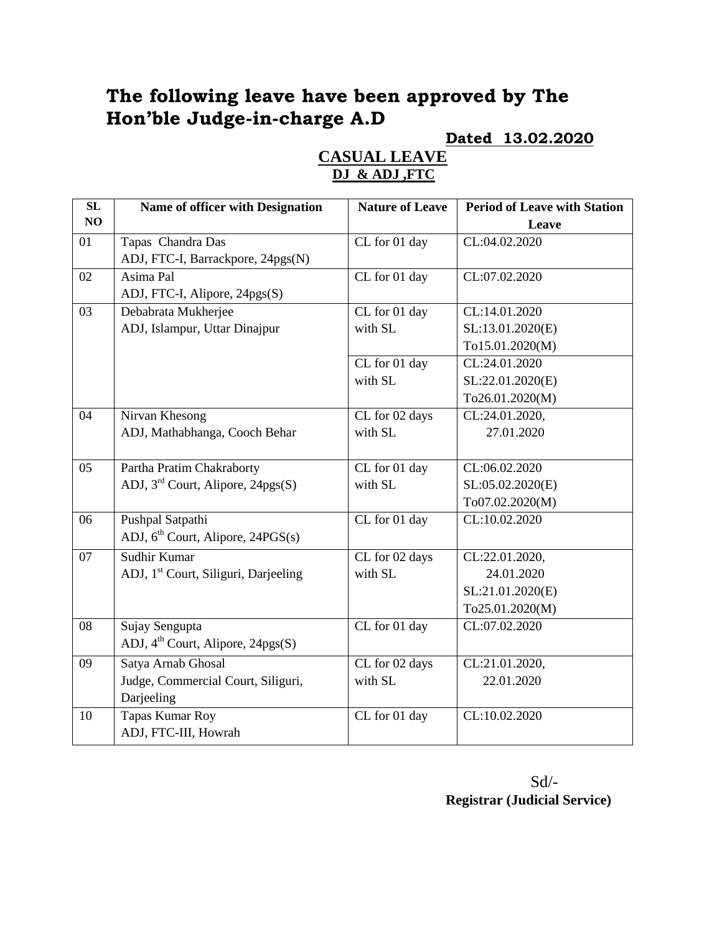# **The following leave have been approved by The Hon'ble Judge-in-charge A.D**

#### **Dated 13.02.2020**

## **CASUAL LEAVE DJ & ADJ ,FTC**

| SL              | Name of officer with Designation                 | <b>Nature of Leave</b> | <b>Period of Leave with Station</b> |
|-----------------|--------------------------------------------------|------------------------|-------------------------------------|
| NO              |                                                  |                        | Leave                               |
| 01              | Tapas Chandra Das                                | CL for 01 day          | CL:04.02.2020                       |
|                 | ADJ, FTC-I, Barrackpore, 24pgs(N)                |                        |                                     |
| 02              | Asima Pal                                        | CL for 01 day          | CL:07.02.2020                       |
|                 | ADJ, FTC-I, Alipore, 24pgs(S)                    |                        |                                     |
| 03              | Debabrata Mukherjee                              | CL for 01 day          | CL:14.01.2020                       |
|                 | ADJ, Islampur, Uttar Dinajpur                    | with SL                | SL:13.01.2020(E)                    |
|                 |                                                  |                        | To15.01.2020(M)                     |
|                 |                                                  | CL for 01 day          | CL:24.01.2020                       |
|                 |                                                  | with SL                | SL:22.01.2020(E)                    |
|                 |                                                  |                        | To26.01.2020(M)                     |
| 04              | Nirvan Khesong                                   | CL for 02 days         | CL:24.01.2020,                      |
|                 | ADJ, Mathabhanga, Cooch Behar                    | with SL                | 27.01.2020                          |
|                 |                                                  |                        |                                     |
| $\overline{05}$ | Partha Pratim Chakraborty                        | CL for 01 day          | CL:06.02.2020                       |
|                 | ADJ, $3^{rd}$ Court, Alipore, $24pgs(S)$         | with SL                | SL:05.02.2020(E)                    |
|                 |                                                  |                        | To07.02.2020(M)                     |
| 06              | Pushpal Satpathi                                 | CL for 01 day          | CL:10.02.2020                       |
|                 | ADJ, 6 <sup>th</sup> Court, Alipore, 24PGS(s)    |                        |                                     |
| 07              | Sudhir Kumar                                     | CL for 02 days         | CL:22.01.2020,                      |
|                 | ADJ, 1 <sup>st</sup> Court, Siliguri, Darjeeling | with SL                | 24.01.2020                          |
|                 |                                                  |                        | SL:21.01.2020(E)                    |
|                 |                                                  |                        | To25.01.2020(M)                     |
| 08              | Sujay Sengupta                                   | CL for 01 day          | CL:07.02.2020                       |
|                 | ADJ, 4 <sup>th</sup> Court, Alipore, 24pgs(S)    |                        |                                     |
| 09              | Satya Arnab Ghosal                               | CL for 02 days         | CL:21.01.2020,                      |
|                 | Judge, Commercial Court, Siliguri,               | with SL                | 22.01.2020                          |
|                 | Darjeeling                                       |                        |                                     |
| 10              | <b>Tapas Kumar Roy</b>                           | CL for 01 day          | $\overline{CL:}10.02.2020$          |
|                 | ADJ, FTC-III, Howrah                             |                        |                                     |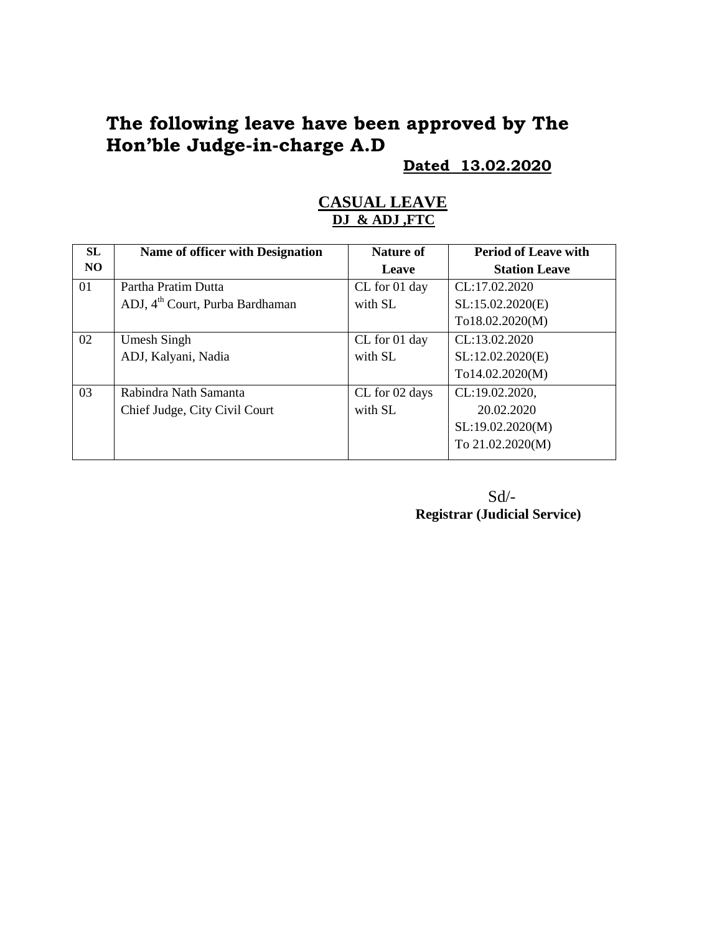# **The following leave have been approved by The Hon'ble Judge-in-charge A.D**

**Dated 13.02.2020**

| <b>SL</b> | Name of officer with Designation            | <b>Nature of</b> | <b>Period of Leave with</b> |
|-----------|---------------------------------------------|------------------|-----------------------------|
| NO.       |                                             | Leave            | <b>Station Leave</b>        |
| 01        | Partha Pratim Dutta                         | CL for 01 day    | CL:17.02.2020               |
|           | ADJ, 4 <sup>th</sup> Court, Purba Bardhaman | with SL          | SL:15.02.2020(E)            |
|           |                                             |                  | To18.02.2020(M)             |
| 02        | Umesh Singh                                 | CL for 01 day    | CL:13.02.2020               |
|           | ADJ, Kalyani, Nadia                         | with SL          | SL:12.02.2020(E)            |
|           |                                             |                  | To14.02.2020(M)             |
| 03        | Rabindra Nath Samanta                       | CL for 02 days   | CL:19.02.2020,              |
|           | Chief Judge, City Civil Court               | with SL          | 20.02.2020                  |
|           |                                             |                  | SL:19.02.2020(M)            |
|           |                                             |                  | To 21.02.2020(M)            |

#### **CASUAL LEAVE DJ & ADJ ,FTC**

Sd/- **Registrar (Judicial Service)**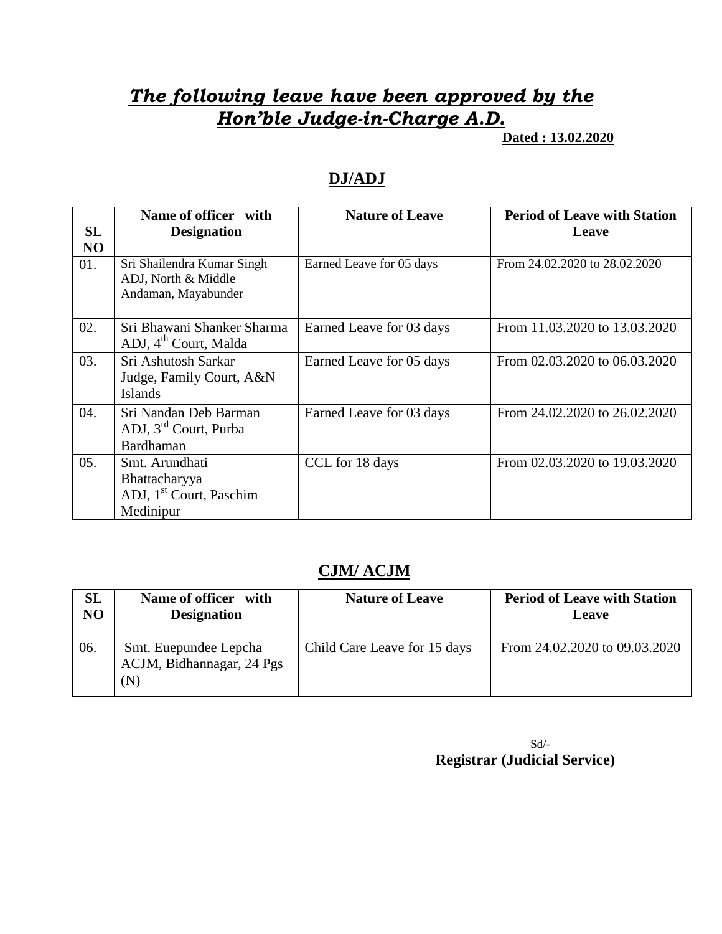# *The following leave have been approved by the Hon'ble Judge-in-Charge A.D.*

 **Dated : 13.02.2020**

### **DJ/ADJ**

| SL<br>NO | Name of officer with<br><b>Designation</b>                                          | <b>Nature of Leave</b>   | <b>Period of Leave with Station</b><br>Leave |
|----------|-------------------------------------------------------------------------------------|--------------------------|----------------------------------------------|
| 01.      | Sri Shailendra Kumar Singh<br>ADJ, North & Middle<br>Andaman, Mayabunder            | Earned Leave for 05 days | From 24.02.2020 to 28.02.2020                |
| 02.      | Sri Bhawani Shanker Sharma<br>ADJ, 4 <sup>th</sup> Court, Malda                     | Earned Leave for 03 days | From 11.03.2020 to 13.03.2020                |
| 03.      | Sri Ashutosh Sarkar<br>Judge, Family Court, A&N<br><b>Islands</b>                   | Earned Leave for 05 days | From 02.03.2020 to 06.03.2020                |
| 04.      | Sri Nandan Deb Barman<br>ADJ, 3 <sup>rd</sup> Court, Purba<br>Bardhaman             | Earned Leave for 03 days | From 24.02.2020 to 26.02.2020                |
| 05.      | Smt. Arundhati<br>Bhattacharyya<br>ADJ, 1 <sup>st</sup> Court, Paschim<br>Medinipur | CCL for 18 days          | From 02.03.2020 to 19.03.2020                |

### **CJM/ ACJM**

| SL             | Name of officer with                                      | <b>Nature of Leave</b>       | <b>Period of Leave with Station</b> |
|----------------|-----------------------------------------------------------|------------------------------|-------------------------------------|
| N <sub>O</sub> | <b>Designation</b>                                        |                              | Leave                               |
| 06.            | Smt. Euepundee Lepcha<br>ACJM, Bidhannagar, 24 Pgs<br>(N) | Child Care Leave for 15 days | From 24.02.2020 to 09.03.2020       |

Sd/-  **Registrar (Judicial Service)**